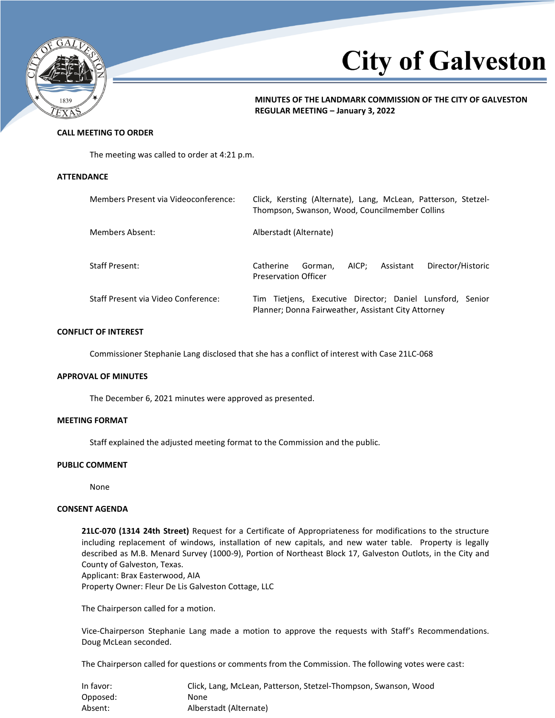

# **City of Galveston**

**MINUTES OF THE LANDMARK COMMISSION OF THE CITY OF GALVESTON REGULAR MEETING – January 3, 2022**

# **CALL MEETING TO ORDER**

The meeting was called to order at 4:21 p.m.

#### **ATTENDANCE**

| Members Present via Videoconference: | Click, Kersting (Alternate), Lang, McLean, Patterson, Stetzel-<br>Thompson, Swanson, Wood, Councilmember Collins |
|--------------------------------------|------------------------------------------------------------------------------------------------------------------|
| Members Absent:                      | Alberstadt (Alternate)                                                                                           |
| <b>Staff Present:</b>                | Director/Historic<br>AICP:<br>Catherine<br>Assistant<br>Gorman.<br><b>Preservation Officer</b>                   |
| Staff Present via Video Conference:  | Tim Tietjens, Executive Director; Daniel Lunsford, Senior<br>Planner; Donna Fairweather, Assistant City Attorney |

## **CONFLICT OF INTEREST**

Commissioner Stephanie Lang disclosed that she has a conflict of interest with Case 21LC-068

#### **APPROVAL OF MINUTES**

The December 6, 2021 minutes were approved as presented.

## **MEETING FORMAT**

Staff explained the adjusted meeting format to the Commission and the public.

# **PUBLIC COMMENT**

None

# **CONSENT AGENDA**

**21LC-070 (1314 24th Street)** Request for a Certificate of Appropriateness for modifications to the structure including replacement of windows, installation of new capitals, and new water table. Property is legally described as M.B. Menard Survey (1000-9), Portion of Northeast Block 17, Galveston Outlots, in the City and County of Galveston, Texas.

Applicant: Brax Easterwood, AIA

Property Owner: Fleur De Lis Galveston Cottage, LLC

The Chairperson called for a motion.

Vice-Chairperson Stephanie Lang made a motion to approve the requests with Staff's Recommendations. Doug McLean seconded.

The Chairperson called for questions or comments from the Commission. The following votes were cast:

| In favor: | Click, Lang, McLean, Patterson, Stetzel-Thompson, Swanson, Wood |
|-----------|-----------------------------------------------------------------|
| Opposed:  | None                                                            |
| Absent:   | Alberstadt (Alternate)                                          |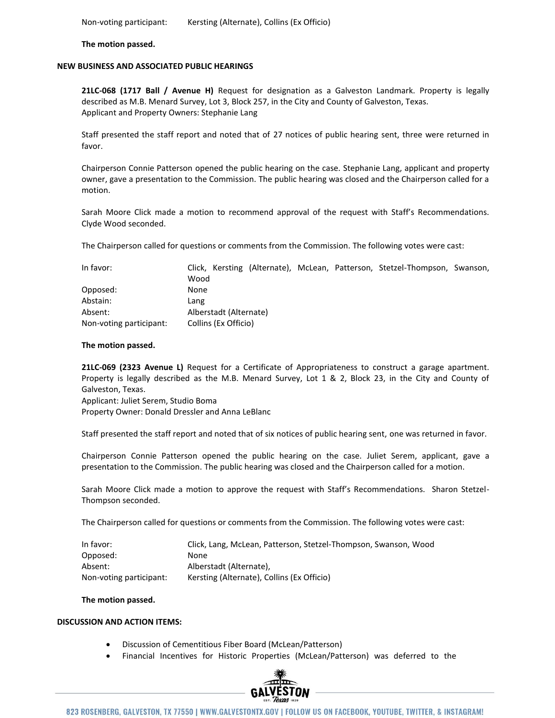Non-voting participant: Kersting (Alternate), Collins (Ex Officio)

**The motion passed.**

## **NEW BUSINESS AND ASSOCIATED PUBLIC HEARINGS**

**21LC-068 (1717 Ball / Avenue H)** Request for designation as a Galveston Landmark. Property is legally described as M.B. Menard Survey, Lot 3, Block 257, in the City and County of Galveston, Texas. Applicant and Property Owners: Stephanie Lang

Staff presented the staff report and noted that of 27 notices of public hearing sent, three were returned in favor.

Chairperson Connie Patterson opened the public hearing on the case. Stephanie Lang, applicant and property owner, gave a presentation to the Commission. The public hearing was closed and the Chairperson called for a motion.

Sarah Moore Click made a motion to recommend approval of the request with Staff's Recommendations. Clyde Wood seconded.

The Chairperson called for questions or comments from the Commission. The following votes were cast:

| In favor:               |                        |  |  |  | Click, Kersting (Alternate), McLean, Patterson, Stetzel-Thompson, Swanson, |  |
|-------------------------|------------------------|--|--|--|----------------------------------------------------------------------------|--|
|                         | Wood                   |  |  |  |                                                                            |  |
| Opposed:                | None                   |  |  |  |                                                                            |  |
| Abstain:                | Lang                   |  |  |  |                                                                            |  |
| Absent:                 | Alberstadt (Alternate) |  |  |  |                                                                            |  |
| Non-voting participant: | Collins (Ex Officio)   |  |  |  |                                                                            |  |

#### **The motion passed.**

**21LC-069 (2323 Avenue L)** Request for a Certificate of Appropriateness to construct a garage apartment. Property is legally described as the M.B. Menard Survey, Lot 1 & 2, Block 23, in the City and County of Galveston, Texas.

Applicant: Juliet Serem, Studio Boma

Property Owner: Donald Dressler and Anna LeBlanc

Staff presented the staff report and noted that of six notices of public hearing sent, one was returned in favor.

Chairperson Connie Patterson opened the public hearing on the case. Juliet Serem, applicant, gave a presentation to the Commission. The public hearing was closed and the Chairperson called for a motion.

Sarah Moore Click made a motion to approve the request with Staff's Recommendations. Sharon Stetzel-Thompson seconded.

The Chairperson called for questions or comments from the Commission. The following votes were cast:

| In favor:               | Click, Lang, McLean, Patterson, Stetzel-Thompson, Swanson, Wood |
|-------------------------|-----------------------------------------------------------------|
| Opposed:                | None                                                            |
| Absent:                 | Alberstadt (Alternate),                                         |
| Non-voting participant: | Kersting (Alternate), Collins (Ex Officio)                      |

#### **The motion passed.**

## **DISCUSSION AND ACTION ITEMS:**

- Discussion of Cementitious Fiber Board (McLean/Patterson)
- Financial Incentives for Historic Properties (McLean/Patterson) was deferred to the